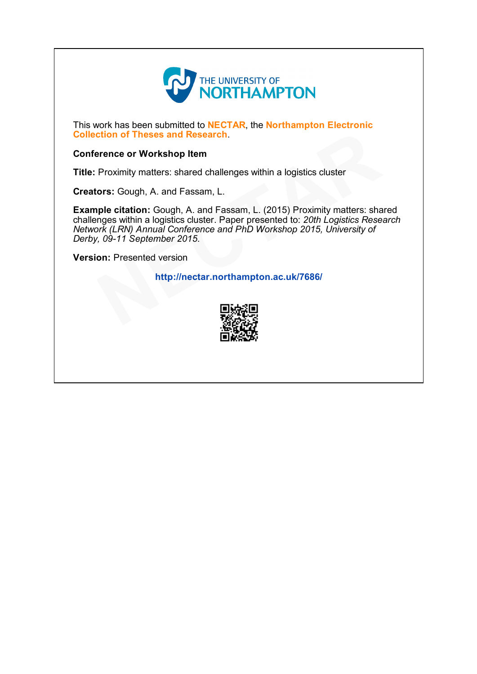

This work has been submitted to NECTAR, the Northampton Electronic Collection of Theses and Research.

# Conference or Workshop Item

Title: Proximity matters: shared challenges within a logistics cluster

Creators: Gough, A. and Fassam, L.

Example citation: Gough, A. and Fassam, L. (2015) Proximity matters: shared challenges within a logistics cluster. Paper presented to: 20th Logistics Research Network (LRN) Annual Conference and PhD Workshop 2015, University of Derby, 09-11 September 2015. northampton.ac.uk/7686/<br>
Entinglection of Theses and Research.<br>
Proximity matters: shared challenges within a logistics cluster<br>
cors: Gough, A. and Fassam, L. (2015) Proximity matters: sha<br>
nges within a logistics cluster

Version: Presented version

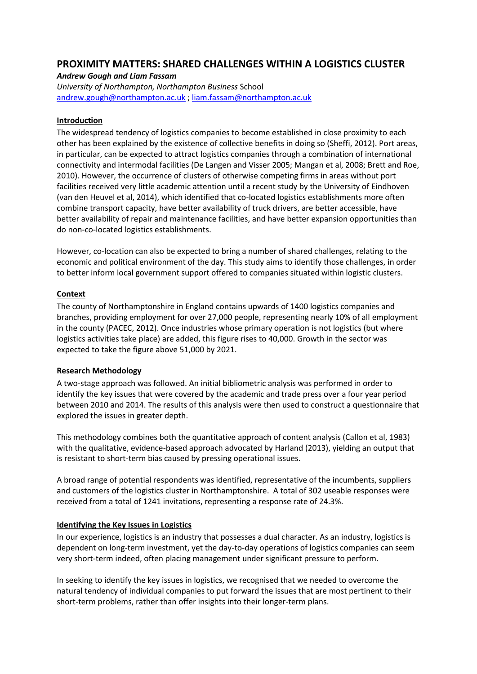# **PROXIMITY MATTERS: SHARED CHALLENGES WITHIN A LOGISTICS CLUSTER**

# *Andrew Gough and Liam Fassam*

*University of Northampton, Northampton Business* School [andrew.gough@northampton.ac.uk](mailto:andrew.gough@northampton.ac.uk) [; liam.fassam@northampton.ac.uk](mailto:liam.fassam@northampton.ac.uk) 

# **Introduction**

The widespread tendency of logistics companies to become established in close proximity to each other has been explained by the existence of collective benefits in doing so (Sheffi, 2012). Port areas, in particular, can be expected to attract logistics companies through a combination of international connectivity and intermodal facilities (De Langen and Visser 2005; Mangan et al, 2008; Brett and Roe, 2010). However, the occurrence of clusters of otherwise competing firms in areas without port facilities received very little academic attention until a recent study by the University of Eindhoven (van den Heuvel et al, 2014), which identified that co-located logistics establishments more often combine transport capacity, have better availability of truck drivers, are better accessible, have better availability of repair and maintenance facilities, and have better expansion opportunities than do non-co-located logistics establishments.

However, co-location can also be expected to bring a number of shared challenges, relating to the economic and political environment of the day. This study aims to identify those challenges, in order to better inform local government support offered to companies situated within logistic clusters.

# **Context**

The county of Northamptonshire in England contains upwards of 1400 logistics companies and branches, providing employment for over 27,000 people, representing nearly 10% of all employment in the county (PACEC, 2012). Once industries whose primary operation is not logistics (but where logistics activities take place) are added, this figure rises to 40,000. Growth in the sector was expected to take the figure above 51,000 by 2021.

#### **Research Methodology**

A two-stage approach was followed. An initial bibliometric analysis was performed in order to identify the key issues that were covered by the academic and trade press over a four year period between 2010 and 2014. The results of this analysis were then used to construct a questionnaire that explored the issues in greater depth.

This methodology combines both the quantitative approach of content analysis (Callon et al, 1983) with the qualitative, evidence-based approach advocated by Harland (2013), yielding an output that is resistant to short-term bias caused by pressing operational issues.

A broad range of potential respondents was identified, representative of the incumbents, suppliers and customers of the logistics cluster in Northamptonshire. A total of 302 useable responses were received from a total of 1241 invitations, representing a response rate of 24.3%.

# **Identifying the Key Issues in Logistics**

In our experience, logistics is an industry that possesses a dual character. As an industry, logistics is dependent on long-term investment, yet the day-to-day operations of logistics companies can seem very short-term indeed, often placing management under significant pressure to perform.

In seeking to identify the key issues in logistics, we recognised that we needed to overcome the natural tendency of individual companies to put forward the issues that are most pertinent to their short-term problems, rather than offer insights into their longer-term plans.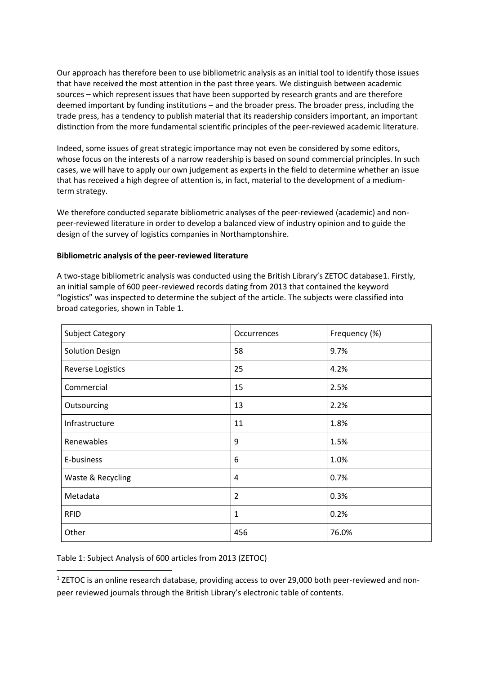Our approach has therefore been to use bibliometric analysis as an initial tool to identify those issues that have received the most attention in the past three years. We distinguish between academic sources - which represent issues that have been supported by research grants and are therefore deemed important by funding institutions – and the broader press. The broader press, including the trade press, has a tendency to publish material that its readership considers important, an important distinction from the more fundamental scientific principles of the peer-reviewed academic literature.

Indeed, some issues of great strategic importance may not even be considered by some editors, whose focus on the interests of a narrow readership is based on sound commercial principles. In such cases, we will have to apply our own judgement as experts in the field to determine whether an issue that has received a high degree of attention is, in fact, material to the development of a mediumterm strategy.

We therefore conducted separate bibliometric analyses of the peer-reviewed (academic) and nonpeer-reviewed literature in order to develop a balanced view of industry opinion and to guide the design of the survey of logistics companies in Northamptonshire.

# Bibliometric analysis of the peer-reviewed literature

A two-stage bibliometric analysis was conducted using the British Library's ZETOC database1. Firstly, an initial sample of 600 peer-reviewed records dating from 2013 that contained the keyword "logistics" was inspected to determine the subject of the article. The subjects were classified into broad categories, shown in Table 1.

| <b>Subject Category</b>  | <b>Occurrences</b> | Frequency (%) |
|--------------------------|--------------------|---------------|
| <b>Solution Design</b>   | 58                 | 9.7%          |
| <b>Reverse Logistics</b> | 25                 | 4.2%          |
| Commercial               | 15                 | 2.5%          |
| Outsourcing              | 13                 | 2.2%          |
| Infrastructure           | 11                 | 1.8%          |
| Renewables               | 9                  | 1.5%          |
| E-business               | 6                  | 1.0%          |
| Waste & Recycling        | $\overline{4}$     | 0.7%          |
| Metadata                 | $\overline{2}$     | 0.3%          |
| <b>RFID</b>              | 1                  | 0.2%          |
| Other                    | 456                | 76.0%         |

Table 1: Subject Analysis of 600 articles from 2013 (ZETOC)

<sup>1</sup> ZETOC is an online research database, providing access to over 29,000 both peer-reviewed and nonpeer reviewed journals through the British Library's electronic table of contents.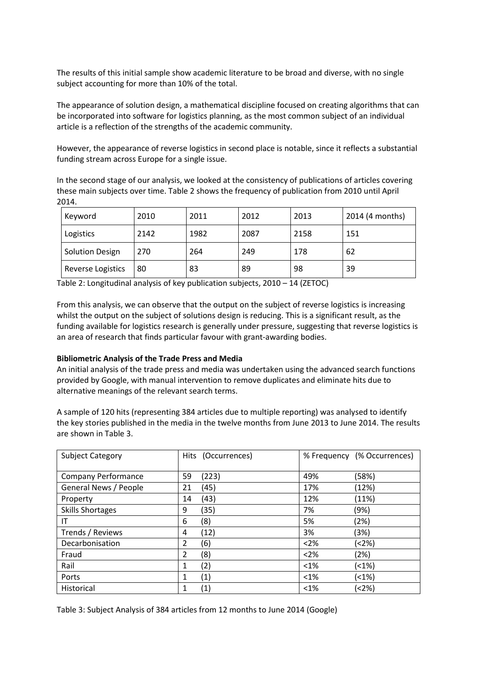The results of this initial sample show academic literature to be broad and diverse, with no single subject accounting for more than 10% of the total.

The appearance of solution design, a mathematical discipline focused on creating algorithms that can be incorporated into software for logistics planning, as the most common subject of an individual article is a reflection of the strengths of the academic community.

However, the appearance of reverse logistics in second place is notable, since it reflects a substantial funding stream across Europe for a single issue.

In the second stage of our analysis, we looked at the consistency of publications of articles covering these main subjects over time. Table 2 shows the frequency of publication from 2010 until April 2014.

| Keyword                | 2010 | 2011 | 2012 | 2013 | 2014 (4 months) |
|------------------------|------|------|------|------|-----------------|
| Logistics              | 2142 | 1982 | 2087 | 2158 | 151             |
| <b>Solution Design</b> | 270  | 264  | 249  | 178  | 62              |
| Reverse Logistics      | 80   | 83   | -89  | 98   | 39              |

Table 2: Longitudinal analysis of key publication subjects, 2010 – 14 (ZETOC)

From this analysis, we can observe that the output on the subject of reverse logistics is increasing whilst the output on the subject of solutions design is reducing. This is a significant result, as the funding available for logistics research is generally under pressure, suggesting that reverse logistics is an area of research that finds particular favour with grant-awarding bodies.

#### **Bibliometric Analysis of the Trade Press and Media**

An initial analysis of the trade press and media was undertaken using the advanced search functions provided by Google, with manual intervention to remove duplicates and eliminate hits due to alternative meanings of the relevant search terms.

A sample of 120 hits (representing 384 articles due to multiple reporting) was analysed to identify the key stories published in the media in the twelve months from June 2013 to June 2014. The results are shown in Table 3.

| <b>Subject Category</b>    | Hits (Occurrences)     | % Frequency (% Occurrences) |
|----------------------------|------------------------|-----------------------------|
| <b>Company Performance</b> | (223)<br>59            | 49%<br>(58%)                |
| General News / People      | (45)<br>21             | 17%<br>(12%)                |
| Property                   | (43)<br>14             | 12%<br>(11%)                |
| <b>Skills Shortages</b>    | (35)<br>9              | (9%)<br>7%                  |
| IT                         | (8)<br>6               | 5%<br>(2%)                  |
| Trends / Reviews           | (12)<br>4              | 3%<br>(3%)                  |
| Decarbonisation            | (6)<br>$\overline{2}$  | (2%)<br>< 2%                |
| Fraud                      | (8)<br>2               | $<$ 2%<br>(2%)              |
| Rail                       | (2)<br>1               | $< 1\%$<br>(<1%)            |
| Ports                      | (1)<br>1               | (<1%)<br>$< 1\%$            |
| Historical                 | $\left( 1\right)$<br>1 | (<2%)<br>$< 1\%$            |

Table 3: Subject Analysis of 384 articles from 12 months to June 2014 (Google)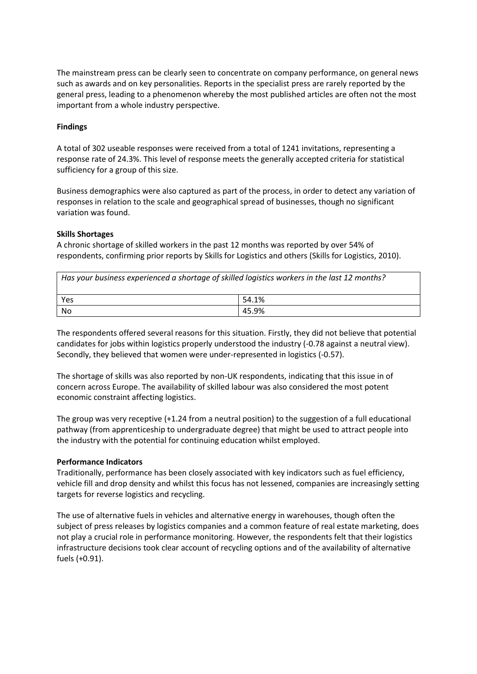The mainstream press can be clearly seen to concentrate on company performance, on general news such as awards and on key personalities. Reports in the specialist press are rarely reported by the general press, leading to a phenomenon whereby the most published articles are often not the most important from a whole industry perspective.

# **Findings**

A total of 302 useable responses were received from a total of 1241 invitations, representing a response rate of 24.3%. This level of response meets the generally accepted criteria for statistical sufficiency for a group of this size.

Business demographics were also captured as part of the process, in order to detect any variation of responses in relation to the scale and geographical spread of businesses, though no significant variation was found.

# **Skills Shortages**

A chronic shortage of skilled workers in the past 12 months was reported by over 54% of respondents, confirming prior reports by Skills for Logistics and others (Skills for Logistics, 2010).

| Has your business experienced a shortage of skilled logistics workers in the last 12 months? |       |  |
|----------------------------------------------------------------------------------------------|-------|--|
| Yes                                                                                          | 54.1% |  |
| No                                                                                           | 45.9% |  |

The respondents offered several reasons for this situation. Firstly, they did not believe that potential candidates for jobs within logistics properly understood the industry (-0.78 against a neutral view). Secondly, they believed that women were under-represented in logistics (-0.57).

The shortage of skills was also reported by non-UK respondents, indicating that this issue in of concern across Europe. The availability of skilled labour was also considered the most potent economic constraint affecting logistics.

The group was very receptive (+1.24 from a neutral position) to the suggestion of a full educational pathway (from apprenticeship to undergraduate degree) that might be used to attract people into the industry with the potential for continuing education whilst employed.

#### **Performance Indicators**

Traditionally, performance has been closely associated with key indicators such as fuel efficiency, vehicle fill and drop density and whilst this focus has not lessened, companies are increasingly setting targets for reverse logistics and recycling.

The use of alternative fuels in vehicles and alternative energy in warehouses, though often the subject of press releases by logistics companies and a common feature of real estate marketing, does not play a crucial role in performance monitoring. However, the respondents felt that their logistics infrastructure decisions took clear account of recycling options and of the availability of alternative fuels (+0.91).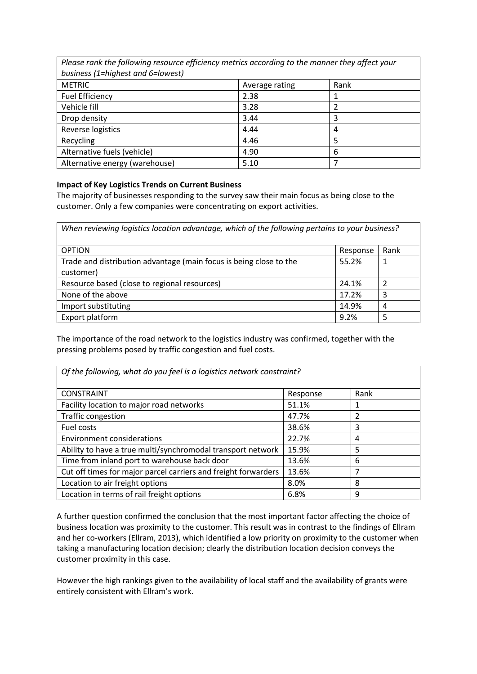| r rease runn the jonowing resource efficiency methods according to the muniter they uffect your |                |      |  |
|-------------------------------------------------------------------------------------------------|----------------|------|--|
| business (1=highest and 6=lowest)                                                               |                |      |  |
| <b>METRIC</b>                                                                                   | Average rating | Rank |  |
| <b>Fuel Efficiency</b>                                                                          | 2.38           |      |  |
| Vehicle fill                                                                                    | 3.28           |      |  |
| Drop density                                                                                    | 3.44           | 3    |  |
| Reverse logistics                                                                               | 4.44           | 4    |  |
| Recycling                                                                                       | 4.46           | 5    |  |
| Alternative fuels (vehicle)                                                                     | 4.90           | 6    |  |
| Alternative energy (warehouse)                                                                  | 5.10           |      |  |

٦

*Please rank the following resource efficiency metrics according to the manner they affect your* 

# **Impact of Key Logistics Trends on Current Business**

The majority of businesses responding to the survey saw their main focus as being close to the customer. Only a few companies were concentrating on export activities.

| When reviewing logistics location advantage, which of the following pertains to your business? |          |      |  |  |
|------------------------------------------------------------------------------------------------|----------|------|--|--|
| <b>OPTION</b>                                                                                  | Response | Rank |  |  |
| Trade and distribution advantage (main focus is being close to the<br>customer)                | 55.2%    |      |  |  |
| Resource based (close to regional resources)                                                   | 24.1%    | っ    |  |  |
| None of the above                                                                              | 17.2%    | 3    |  |  |
| Import substituting                                                                            | 14.9%    | 4    |  |  |
| Export platform                                                                                | 9.2%     |      |  |  |

The importance of the road network to the logistics industry was confirmed, together with the pressing problems posed by traffic congestion and fuel costs.

| Of the following, what do you feel is a logistics network constraint? |          |      |  |
|-----------------------------------------------------------------------|----------|------|--|
| <b>CONSTRAINT</b>                                                     | Response | Rank |  |
| Facility location to major road networks                              | 51.1%    | 1    |  |
| Traffic congestion                                                    | 47.7%    | 2    |  |
| Fuel costs                                                            | 38.6%    | 3    |  |
| <b>Environment considerations</b>                                     | 22.7%    | 4    |  |
| Ability to have a true multi/synchromodal transport network           | 15.9%    | 5    |  |
| Time from inland port to warehouse back door                          | 13.6%    | 6    |  |
| Cut off times for major parcel carriers and freight forwarders        | 13.6%    | 7    |  |
| Location to air freight options                                       | 8.0%     | 8    |  |
| Location in terms of rail freight options                             | 6.8%     | 9    |  |

A further question confirmed the conclusion that the most important factor affecting the choice of business location was proximity to the customer. This result was in contrast to the findings of Ellram and her co-workers (Ellram, 2013), which identified a low priority on proximity to the customer when taking a manufacturing location decision; clearly the distribution location decision conveys the customer proximity in this case.

However the high rankings given to the availability of local staff and the availability of grants were entirely consistent with Ellram's work.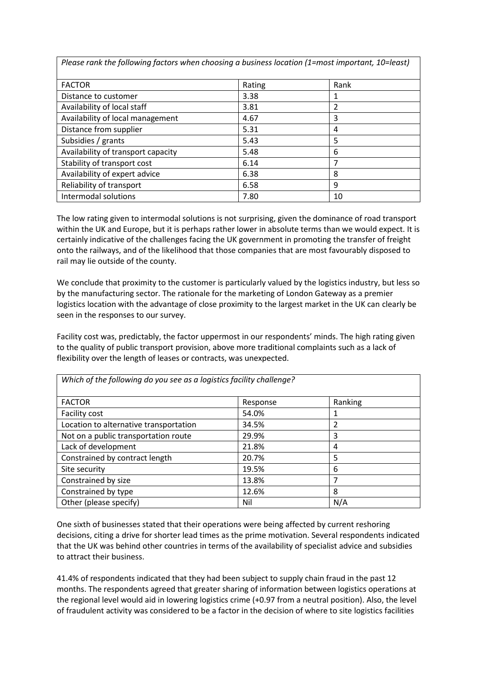| r icasc runn the following fuctors when choosing a basiness location [1–1110st important, 10–1cast] |        |      |  |
|-----------------------------------------------------------------------------------------------------|--------|------|--|
| <b>FACTOR</b>                                                                                       | Rating | Rank |  |
| Distance to customer                                                                                | 3.38   |      |  |
| Availability of local staff                                                                         | 3.81   |      |  |
| Availability of local management                                                                    | 4.67   | 3    |  |
| Distance from supplier                                                                              | 5.31   | 4    |  |
| Subsidies / grants                                                                                  | 5.43   | 5    |  |
| Availability of transport capacity                                                                  | 5.48   | 6    |  |
| Stability of transport cost                                                                         | 6.14   |      |  |
| Availability of expert advice                                                                       | 6.38   | 8    |  |
| Reliability of transport                                                                            | 6.58   | 9    |  |
| Intermodal solutions                                                                                | 7.80   | 10   |  |

Please rank the following factors when choosing a husiness location  $(1-\text{most important } 10-\text{least})$ 

The low rating given to intermodal solutions is not surprising, given the dominance of road transport within the UK and Europe, but it is perhaps rather lower in absolute terms than we would expect. It is certainly indicative of the challenges facing the UK government in promoting the transfer of freight onto the railways, and of the likelihood that those companies that are most favourably disposed to rail may lie outside of the county.

We conclude that proximity to the customer is particularly valued by the logistics industry, but less so by the manufacturing sector. The rationale for the marketing of London Gateway as a premier logistics location with the advantage of close proximity to the largest market in the UK can clearly be seen in the responses to our survey.

Facility cost was, predictably, the factor uppermost in our respondents' minds. The high rating given to the quality of public transport provision, above more traditional complaints such as a lack of flexibility over the length of leases or contracts, was unexpected.

| Which of the following do you see as a logistics facility challenge? |          |         |  |
|----------------------------------------------------------------------|----------|---------|--|
| <b>FACTOR</b>                                                        | Response | Ranking |  |
| Facility cost                                                        | 54.0%    | 1       |  |
| Location to alternative transportation                               | 34.5%    | 2       |  |
| Not on a public transportation route                                 | 29.9%    | 3       |  |
| Lack of development                                                  | 21.8%    | 4       |  |
| Constrained by contract length                                       | 20.7%    | 5       |  |
| Site security                                                        | 19.5%    | 6       |  |
| Constrained by size                                                  | 13.8%    | 7       |  |
| Constrained by type                                                  | 12.6%    | 8       |  |
| Other (please specify)                                               | Nil      | N/A     |  |

One sixth of businesses stated that their operations were being affected by current reshoring decisions, citing a drive for shorter lead times as the prime motivation. Several respondents indicated that the UK was behind other countries in terms of the availability of specialist advice and subsidies

to attract their business. 41.4% of respondents indicated that they had been subject to supply chain fraud in the past 12 months. The respondents agreed that greater sharing of information between logistics operations at the regional level would aid in lowering logistics crime (+0.97 from a neutral position). Also, the level of fraudulent activity was considered to be a factor in the decision of where to site logistics facilities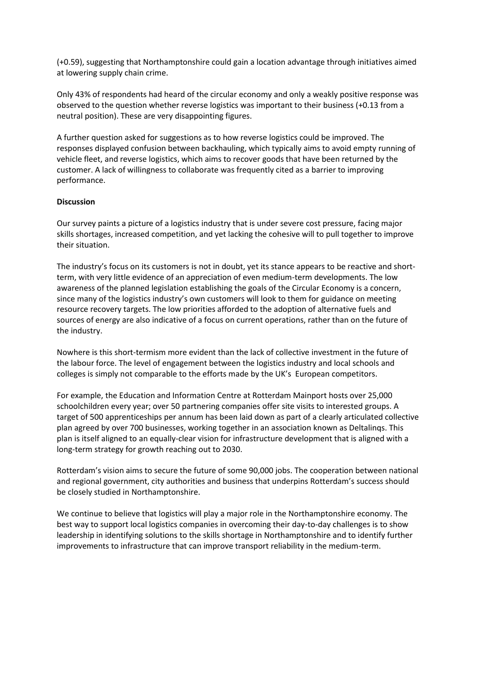(+0.59), suggesting that Northamptonshire could gain a location advantage through initiatives aimed at lowering supply chain crime.

Only 43% of respondents had heard of the circular economy and only a weakly positive response was observed to the question whether reverse logistics was important to their business  $(+0.13 \text{ from a})$ neutral position). These are very disappointing figures.

A further question asked for suggestions as to how reverse logistics could be improved. The responses displayed confusion between backhauling, which typically aims to avoid empty running of vehicle fleet, and reverse logistics, which aims to recover goods that have been returned by the customer. A lack of willingness to collaborate was frequently cited as a barrier to improving performance.

#### **Discussion**

Our survey paints a picture of a logistics industry that is under severe cost pressure, facing major skills shortages, increased competition, and yet lacking the cohesive will to pull together to improve their situation.

The industry's focus on its customers is not in doubt, yet its stance appears to be reactive and shortterm, with very little evidence of an appreciation of even medium-term developments. The low awareness of the planned legislation establishing the goals of the Circular Economy is a concern, since many of the logistics industry's own customers will look to them for guidance on meeting resource recovery targets. The low priorities afforded to the adoption of alternative fuels and sources of energy are also indicative of a focus on current operations, rather than on the future of the industry.

Nowhere is this short-termism more evident than the lack of collective investment in the future of the labour force. The level of engagement between the logistics industry and local schools and colleges is simply not comparable to the efforts made by the UK's European competitors.

For example, the Education and Information Centre at Rotterdam Mainport hosts over 25,000 schoolchildren every year; over 50 partnering companies offer site visits to interested groups. A target of 500 apprenticeships per annum has been laid down as part of a clearly articulated collective plan agreed by over 700 businesses, working together in an association known as Deltalings. This plan is itself aligned to an equally-clear vision for infrastructure development that is aligned with a long-term strategy for growth reaching out to 2030.

Rotterdam's vision aims to secure the future of some 90,000 jobs. The cooperation between national and regional government, city authorities and business that underpins Rotterdam's success should be closely studied in Northamptonshire.

We continue to believe that logistics will play a major role in the Northamptonshire economy. The best way to support local logistics companies in overcoming their day-to-day challenges is to show leadership in identifying solutions to the skills shortage in Northamptonshire and to identify further improvements to infrastructure that can improve transport reliability in the medium-term.